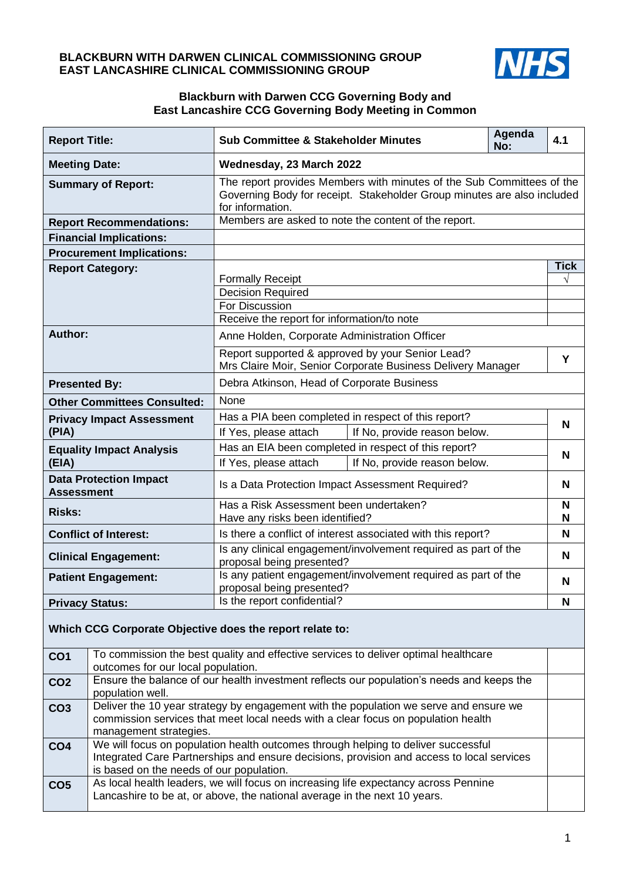### **BLACKBURN WITH DARWEN CLINICAL COMMISSIONING GROUP EAST LANCASHIRE CLINICAL COMMISSIONING GROUP**



#### **Blackburn with Darwen CCG Governing Body and East Lancashire CCG Governing Body Meeting in Common**

| <b>Report Title:</b>                                     |                                                                                                                                                                                                      | <b>Sub Committee &amp; Stakeholder Minutes</b>                                                                                                                       | Agenda<br>No: | 4.1         |  |
|----------------------------------------------------------|------------------------------------------------------------------------------------------------------------------------------------------------------------------------------------------------------|----------------------------------------------------------------------------------------------------------------------------------------------------------------------|---------------|-------------|--|
| <b>Meeting Date:</b>                                     |                                                                                                                                                                                                      | Wednesday, 23 March 2022                                                                                                                                             |               |             |  |
| <b>Summary of Report:</b>                                |                                                                                                                                                                                                      | The report provides Members with minutes of the Sub Committees of the<br>Governing Body for receipt. Stakeholder Group minutes are also included<br>for information. |               |             |  |
| <b>Report Recommendations:</b>                           |                                                                                                                                                                                                      | Members are asked to note the content of the report.                                                                                                                 |               |             |  |
| <b>Financial Implications:</b>                           |                                                                                                                                                                                                      |                                                                                                                                                                      |               |             |  |
| <b>Procurement Implications:</b>                         |                                                                                                                                                                                                      |                                                                                                                                                                      |               |             |  |
| <b>Report Category:</b>                                  |                                                                                                                                                                                                      |                                                                                                                                                                      |               | <b>Tick</b> |  |
|                                                          |                                                                                                                                                                                                      | <b>Formally Receipt</b><br><b>Decision Required</b>                                                                                                                  |               | $\sqrt{}$   |  |
|                                                          |                                                                                                                                                                                                      | For Discussion                                                                                                                                                       |               |             |  |
|                                                          |                                                                                                                                                                                                      | Receive the report for information/to note                                                                                                                           |               |             |  |
| Author:                                                  |                                                                                                                                                                                                      | Anne Holden, Corporate Administration Officer                                                                                                                        |               |             |  |
|                                                          |                                                                                                                                                                                                      | Report supported & approved by your Senior Lead?                                                                                                                     |               |             |  |
|                                                          |                                                                                                                                                                                                      | Mrs Claire Moir, Senior Corporate Business Delivery Manager                                                                                                          |               | Υ           |  |
| <b>Presented By:</b>                                     |                                                                                                                                                                                                      | Debra Atkinson, Head of Corporate Business                                                                                                                           |               |             |  |
| <b>Other Committees Consulted:</b>                       |                                                                                                                                                                                                      | None                                                                                                                                                                 |               |             |  |
| <b>Privacy Impact Assessment</b>                         |                                                                                                                                                                                                      | Has a PIA been completed in respect of this report?                                                                                                                  |               | N           |  |
| (PIA)                                                    |                                                                                                                                                                                                      | If Yes, please attach<br>If No, provide reason below.                                                                                                                |               |             |  |
| <b>Equality Impact Analysis</b><br>(EIA)                 |                                                                                                                                                                                                      | Has an EIA been completed in respect of this report?                                                                                                                 |               | N           |  |
|                                                          |                                                                                                                                                                                                      | If Yes, please attach<br>If No, provide reason below.                                                                                                                |               |             |  |
| <b>Data Protection Impact</b><br><b>Assessment</b>       |                                                                                                                                                                                                      | Is a Data Protection Impact Assessment Required?                                                                                                                     |               | N           |  |
| <b>Risks:</b>                                            |                                                                                                                                                                                                      | Has a Risk Assessment been undertaken?                                                                                                                               |               | N           |  |
|                                                          |                                                                                                                                                                                                      | Have any risks been identified?                                                                                                                                      |               | N           |  |
| <b>Conflict of Interest:</b>                             |                                                                                                                                                                                                      | Is there a conflict of interest associated with this report?<br>Is any clinical engagement/involvement required as part of the                                       |               | N           |  |
| <b>Clinical Engagement:</b>                              |                                                                                                                                                                                                      | proposal being presented?                                                                                                                                            |               | N           |  |
| <b>Patient Engagement:</b>                               |                                                                                                                                                                                                      | Is any patient engagement/involvement required as part of the                                                                                                        |               | N           |  |
|                                                          |                                                                                                                                                                                                      | proposal being presented?                                                                                                                                            |               |             |  |
| <b>Privacy Status:</b>                                   |                                                                                                                                                                                                      | Is the report confidential?                                                                                                                                          |               | N           |  |
| Which CCG Corporate Objective does the report relate to: |                                                                                                                                                                                                      |                                                                                                                                                                      |               |             |  |
| CO <sub>1</sub>                                          |                                                                                                                                                                                                      | To commission the best quality and effective services to deliver optimal healthcare                                                                                  |               |             |  |
|                                                          | outcomes for our local population.                                                                                                                                                                   |                                                                                                                                                                      |               |             |  |
| CO <sub>2</sub>                                          | Ensure the balance of our health investment reflects our population's needs and keeps the<br>population well.                                                                                        |                                                                                                                                                                      |               |             |  |
| CO <sub>3</sub>                                          | Deliver the 10 year strategy by engagement with the population we serve and ensure we<br>commission services that meet local needs with a clear focus on population health<br>management strategies. |                                                                                                                                                                      |               |             |  |
| CO <sub>4</sub>                                          | We will focus on population health outcomes through helping to deliver successful                                                                                                                    |                                                                                                                                                                      |               |             |  |
|                                                          | Integrated Care Partnerships and ensure decisions, provision and access to local services                                                                                                            |                                                                                                                                                                      |               |             |  |
|                                                          | is based on the needs of our population.                                                                                                                                                             |                                                                                                                                                                      |               |             |  |
| CO <sub>5</sub>                                          | As local health leaders, we will focus on increasing life expectancy across Pennine<br>Lancashire to be at, or above, the national average in the next 10 years.                                     |                                                                                                                                                                      |               |             |  |